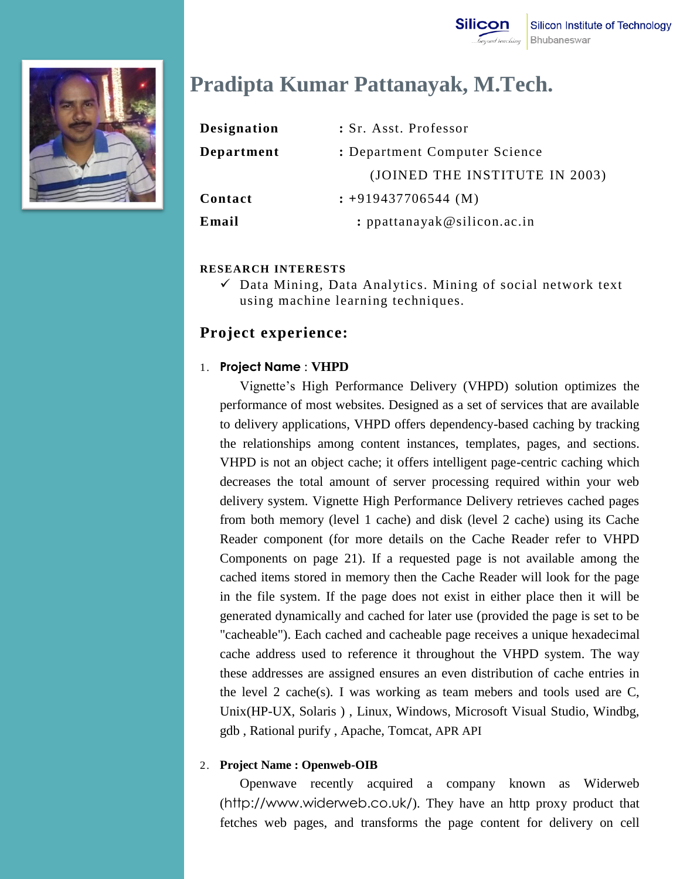

# **Pradipta Kumar Pattanayak, M.Tech.**

| Designation | : Sr. Asst. Professor          |
|-------------|--------------------------------|
| Department  | : Department Computer Science  |
|             | (JOINED THE INSTITUTE IN 2003) |
| Contact     | $: +919437706544$ (M)          |
| Email       | : $p$ pattanayak@silicon.ac.in |

### **RESEARCH INTERESTS**

 $\checkmark$  Data Mining, Data Analytics. Mining of social network text using machine learning techniques.

### **Project experience:**

### 1. **Project Name** : **VHPD**

Vignette's High Performance Delivery (VHPD) solution optimizes the performance of most websites. Designed as a set of services that are available to delivery applications, VHPD offers dependency-based caching by tracking the relationships among content instances, templates, pages, and sections. VHPD is not an object cache; it offers intelligent page-centric caching which decreases the total amount of server processing required within your web delivery system. Vignette High Performance Delivery retrieves cached pages from both memory (level 1 cache) and disk (level 2 cache) using its Cache Reader component (for more details on the Cache Reader refer to VHPD Components on page 21). If a requested page is not available among the cached items stored in memory then the Cache Reader will look for the page in the file system. If the page does not exist in either place then it will be generated dynamically and cached for later use (provided the page is set to be "cacheable"). Each cached and cacheable page receives a unique hexadecimal cache address used to reference it throughout the VHPD system. The way these addresses are assigned ensures an even distribution of cache entries in the level 2 cache(s). I was working as team mebers and tools used are C, Unix(HP-UX, Solaris ) , Linux, Windows, Microsoft Visual Studio, Windbg, gdb , Rational purify , Apache, Tomcat, APR API

### 2. **Project Name : Openweb-OIB**

Openwave recently acquired a company known as Widerweb ([http://www.widerweb.co.uk/](https://mail.persistent.co.in/wm/mail/fetch.html?urlid=061810f5a46a40331d9e0ab2574898888&url=http%3A%2F%2Fwww.widerweb.co.uk%2F)). They have an http proxy product that fetches web pages, and transforms the page content for delivery on cell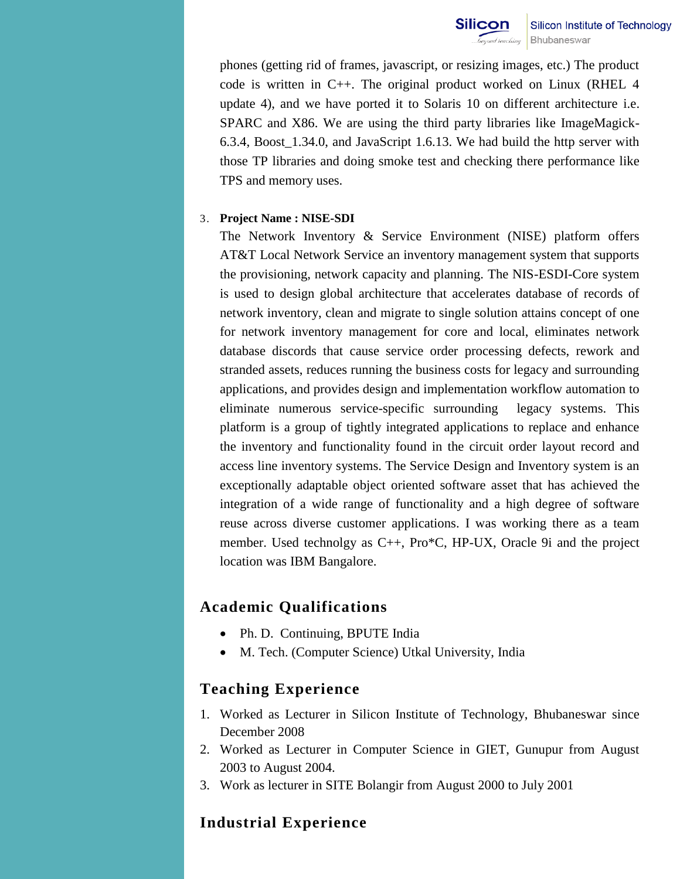phones (getting rid of frames, javascript, or resizing images, etc.) The product code is written in C++. The original product worked on Linux (RHEL 4 update 4), and we have ported it to Solaris 10 on different architecture i.e. SPARC and X86. We are using the third party libraries like ImageMagick-6.3.4, Boost\_1.34.0, and JavaScript 1.6.13. We had build the http server with those TP libraries and doing smoke test and checking there performance like TPS and memory uses.

#### 3. **Project Name : NISE-SDI**

The Network Inventory & Service Environment (NISE) platform offers AT&T Local Network Service an inventory management system that supports the provisioning, network capacity and planning. The NIS-ESDI-Core system is used to design global architecture that accelerates database of records of network inventory, clean and migrate to single solution attains concept of one for network inventory management for core and local, eliminates network database discords that cause service order processing defects, rework and stranded assets, reduces running the business costs for legacy and surrounding applications, and provides design and implementation workflow automation to eliminate numerous service-specific surrounding legacy systems. This platform is a group of tightly integrated applications to replace and enhance the inventory and functionality found in the circuit order layout record and access line inventory systems. The Service Design and Inventory system is an exceptionally adaptable object oriented software asset that has achieved the integration of a wide range of functionality and a high degree of software reuse across diverse customer applications. I was working there as a team member. Used technolgy as C++, Pro\*C, HP-UX, Oracle 9i and the project location was IBM Bangalore.

## **Academic Qualifications**

- Ph. D. Continuing, BPUTE India
- M. Tech. (Computer Science) Utkal University, India

## **Teaching Experience**

- 1. Worked as Lecturer in Silicon Institute of Technology, Bhubaneswar since December 2008
- 2. Worked as Lecturer in Computer Science in GIET, Gunupur from August 2003 to August 2004.
- 3. Work as lecturer in SITE Bolangir from August 2000 to July 2001

# **Industrial Experience**